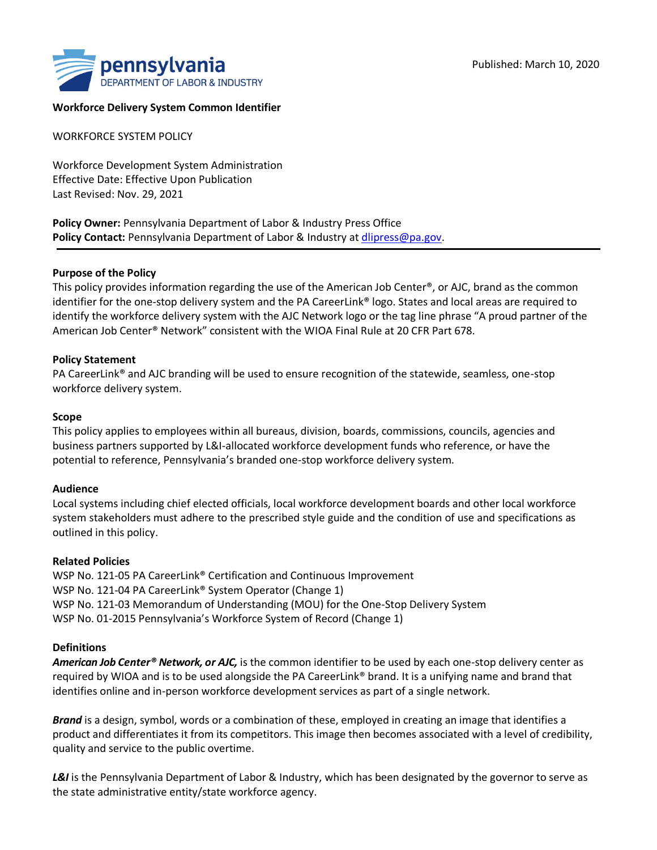

### **Workforce Delivery System Common Identifier**

WORKFORCE SYSTEM POLICY

Workforce Development System Administration Effective Date: Effective Upon Publication Last Revised: Nov. 29, 2021

**Policy Owner:** Pennsylvania Department of Labor & Industry Press Office **Policy Contact:** Pennsylvania Department of Labor & Industry at dlipress@pa.gov.

### **Purpose of the Policy**

This policy provides information regarding the use of the American Job Center®, or AJC, brand as the common identifier for the one-stop delivery system and the PA CareerLink® logo. States and local areas are required to identify the workforce delivery system with the AJC Network logo or the tag line phrase "A proud partner of the American Job Center® Network" consistent with the WIOA Final Rule at 20 CFR Part 678.

### **Policy Statement**

PA CareerLink® and AJC branding will be used to ensure recognition of the statewide, seamless, one-stop workforce delivery system.

### **Scope**

This policy applies to employees within all bureaus, division, boards, commissions, councils, agencies and business partners supported by L&I-allocated workforce development funds who reference, or have the potential to reference, Pennsylvania's branded one-stop workforce delivery system.

### **Audience**

Local systems including chief elected officials, local workforce development boards and other local workforce system stakeholders must adhere to the prescribed style guide and the condition of use and specifications as outlined in this policy.

### **Related Policies**

WSP No. 121-05 PA CareerLink® Certification and Continuous Improvement WSP No. 121-04 PA CareerLink<sup>®</sup> System Operator (Change 1) WSP No. 121-03 Memorandum of Understanding (MOU) for the One-Stop Delivery System WSP No. 01-2015 Pennsylvania's Workforce System of Record (Change 1)

### **Definitions**

*American Job Center® Network, or AJC,* is the common identifier to be used by each one-stop delivery center as required by WIOA and is to be used alongside the PA CareerLink® brand. It is a unifying name and brand that identifies online and in-person workforce development services as part of a single network.

*Brand* is a design, symbol, words or a combination of these, employed in creating an image that identifies a product and differentiates it from its competitors. This image then becomes associated with a level of credibility, quality and service to the public overtime.

**L&I** is the Pennsylvania Department of Labor & Industry, which has been designated by the governor to serve as the state administrative entity/state workforce agency.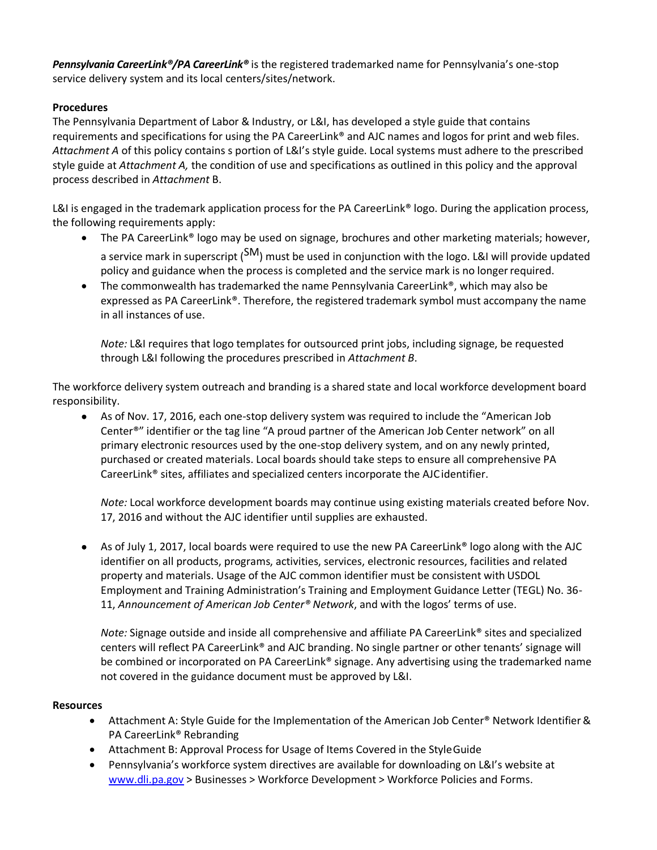*Pennsylvania CareerLink®/PA CareerLink®* is the registered trademarked name for Pennsylvania's one-stop service delivery system and its local centers/sites/network.

# **Procedures**

The Pennsylvania Department of Labor & Industry, or L&I, has developed a style guide that contains requirements and specifications for using the PA CareerLink® and AJC names and logos for print and web files. *Attachment A* of this policy contains s portion of L&I's style guide. Local systems must adhere to the prescribed style guide at *Attachment A,* the condition of use and specifications as outlined in this policy and the approval process described in *Attachment* B.

L&I is engaged in the trademark application process for the PA CareerLink® logo. During the application process, the following requirements apply:

- The PA CareerLink<sup>®</sup> logo may be used on signage, brochures and other marketing materials; however, a service mark in superscript (SM) must be used in conjunction with the logo. L&I will provide updated policy and guidance when the process is completed and the service mark is no longerrequired.
- The commonwealth has trademarked the name Pennsylvania CareerLink<sup>®</sup>, which may also be expressed as PA CareerLink®. Therefore, the registered trademark symbol must accompany the name in all instances of use.

*Note:* L&I requires that logo templates for outsourced print jobs, including signage, be requested through L&I following the procedures prescribed in *Attachment B*.

The workforce delivery system outreach and branding is a shared state and local workforce development board responsibility.

• As of Nov. 17, 2016, each one-stop delivery system was required to include the "American Job" Center®" identifier or the tag line "A proud partner of the American Job Center network" on all primary electronic resources used by the one-stop delivery system, and on any newly printed, purchased or created materials. Local boards should take steps to ensure all comprehensive PA CareerLink® sites, affiliates and specialized centers incorporate the AJCidentifier.

*Note:* Local workforce development boards may continue using existing materials created before Nov. 17, 2016 and without the AJC identifier until supplies are exhausted.

● As of July 1, 2017, local boards were required to use the new PA CareerLink® logo along with the AJC identifier on all products, programs, activities, services, electronic resources, facilities and related property and materials. Usage of the AJC common identifier must be consistent with USDOL Employment and Training Administration's Training and Employment Guidance Letter (TEGL) No. 36- 11, *Announcement of American Job Center® Network*, and with the logos' terms of use.

*Note:* Signage outside and inside all comprehensive and affiliate PA CareerLink® sites and specialized centers will reflect PA CareerLink® and AJC branding. No single partner or other tenants' signage will be combined or incorporated on PA CareerLink® signage. Any advertising using the trademarked name not covered in the guidance document must be approved by L&I.

## **Resources**

- Attachment A: Style Guide for the Implementation of the American Job Center® Network Identifier & PA CareerLink® Rebranding
- Attachment B: Approval Process for Usage of Items Covered in the StyleGuide
- Pennsylvania's workforce system directives are available for downloading on L&I's website at www.dli.pa.gov > Businesses > Workforce Development > Workforce Policies and Forms.